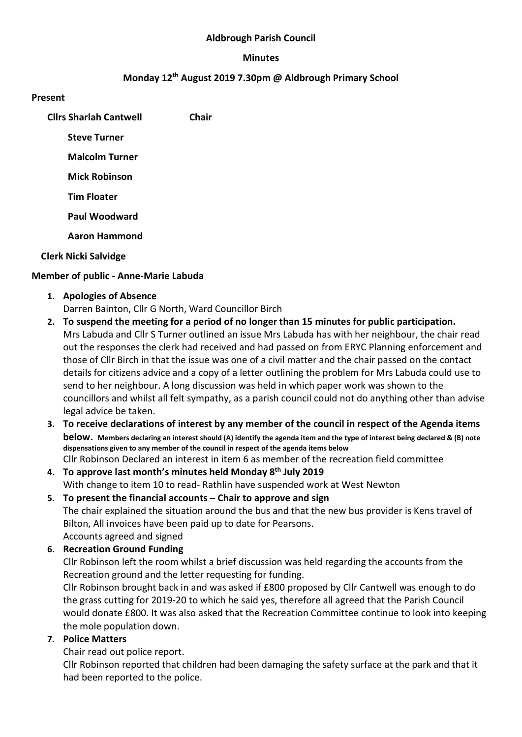#### Aldbrough Parish Council

#### Minutes

## Monday 12th August 2019 7.30pm @ Aldbrough Primary School

#### Present

| <b>Clirs Sharlah Cantwell</b> | Chair |
|-------------------------------|-------|
| <b>Steve Turner</b>           |       |
| <b>Malcolm Turner</b>         |       |
| <b>Mick Robinson</b>          |       |
| <b>Tim Floater</b>            |       |
| <b>Paul Woodward</b>          |       |
| <b>Aaron Hammond</b>          |       |
|                               |       |

## Clerk Nicki Salvidge

## Member of public - Anne-Marie Labuda

1. Apologies of Absence

Darren Bainton, Cllr G North, Ward Councillor Birch

- 2. To suspend the meeting for a period of no longer than 15 minutes for public participation. Mrs Labuda and Cllr S Turner outlined an issue Mrs Labuda has with her neighbour, the chair read out the responses the clerk had received and had passed on from ERYC Planning enforcement and those of Cllr Birch in that the issue was one of a civil matter and the chair passed on the contact details for citizens advice and a copy of a letter outlining the problem for Mrs Labuda could use to send to her neighbour. A long discussion was held in which paper work was shown to the councillors and whilst all felt sympathy, as a parish council could not do anything other than advise legal advice be taken.
- 3. To receive declarations of interest by any member of the council in respect of the Agenda items below. Members declaring an interest should (A) identify the agenda item and the type of interest being declared & (B) note dispensations given to any member of the council in respect of the agenda items below Cllr Robinson Declared an interest in item 6 as member of the recreation field committee
- 4. To approve last month's minutes held Monday 8<sup>th</sup> July 2019 With change to item 10 to read- Rathlin have suspended work at West Newton
- 5. To present the financial accounts Chair to approve and sign The chair explained the situation around the bus and that the new bus provider is Kens travel of Bilton, All invoices have been paid up to date for Pearsons. Accounts agreed and signed
- 6. Recreation Ground Funding

Cllr Robinson left the room whilst a brief discussion was held regarding the accounts from the Recreation ground and the letter requesting for funding.

Cllr Robinson brought back in and was asked if £800 proposed by Cllr Cantwell was enough to do the grass cutting for 2019-20 to which he said yes, therefore all agreed that the Parish Council would donate £800. It was also asked that the Recreation Committee continue to look into keeping the mole population down.

## 7. Police Matters

Chair read out police report.

Cllr Robinson reported that children had been damaging the safety surface at the park and that it had been reported to the police.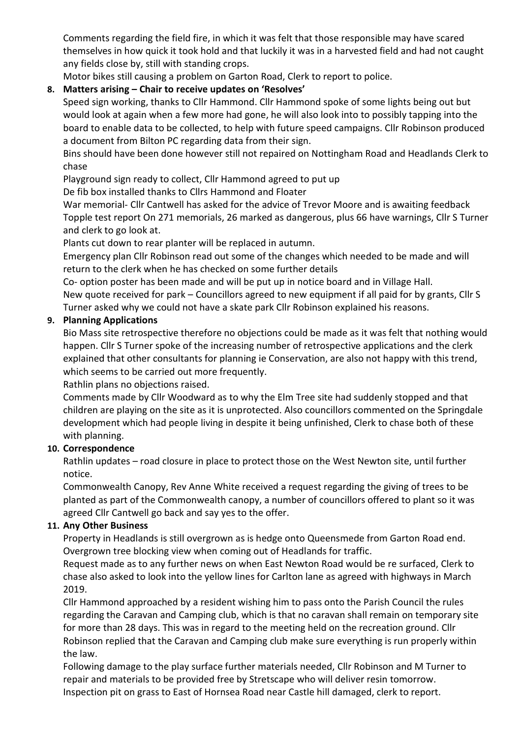Comments regarding the field fire, in which it was felt that those responsible may have scared themselves in how quick it took hold and that luckily it was in a harvested field and had not caught any fields close by, still with standing crops.

Motor bikes still causing a problem on Garton Road, Clerk to report to police.

# 8. Matters arising – Chair to receive updates on 'Resolves'

Speed sign working, thanks to Cllr Hammond. Cllr Hammond spoke of some lights being out but would look at again when a few more had gone, he will also look into to possibly tapping into the board to enable data to be collected, to help with future speed campaigns. Cllr Robinson produced a document from Bilton PC regarding data from their sign.

Bins should have been done however still not repaired on Nottingham Road and Headlands Clerk to chase

Playground sign ready to collect, Cllr Hammond agreed to put up

De fib box installed thanks to Cllrs Hammond and Floater

War memorial- Cllr Cantwell has asked for the advice of Trevor Moore and is awaiting feedback Topple test report On 271 memorials, 26 marked as dangerous, plus 66 have warnings, Cllr S Turner and clerk to go look at.

Plants cut down to rear planter will be replaced in autumn.

Emergency plan Cllr Robinson read out some of the changes which needed to be made and will return to the clerk when he has checked on some further details

Co- option poster has been made and will be put up in notice board and in Village Hall.

New quote received for park – Councillors agreed to new equipment if all paid for by grants, Cllr S Turner asked why we could not have a skate park Cllr Robinson explained his reasons.

## 9. Planning Applications

Bio Mass site retrospective therefore no objections could be made as it was felt that nothing would happen. Cllr S Turner spoke of the increasing number of retrospective applications and the clerk explained that other consultants for planning ie Conservation, are also not happy with this trend, which seems to be carried out more frequently.

Rathlin plans no objections raised.

Comments made by Cllr Woodward as to why the Elm Tree site had suddenly stopped and that children are playing on the site as it is unprotected. Also councillors commented on the Springdale development which had people living in despite it being unfinished, Clerk to chase both of these with planning.

## 10. Correspondence

Rathlin updates – road closure in place to protect those on the West Newton site, until further notice.

Commonwealth Canopy, Rev Anne White received a request regarding the giving of trees to be planted as part of the Commonwealth canopy, a number of councillors offered to plant so it was agreed Cllr Cantwell go back and say yes to the offer.

## 11. Any Other Business

Property in Headlands is still overgrown as is hedge onto Queensmede from Garton Road end. Overgrown tree blocking view when coming out of Headlands for traffic.

Request made as to any further news on when East Newton Road would be re surfaced, Clerk to chase also asked to look into the yellow lines for Carlton lane as agreed with highways in March 2019.

Cllr Hammond approached by a resident wishing him to pass onto the Parish Council the rules regarding the Caravan and Camping club, which is that no caravan shall remain on temporary site for more than 28 days. This was in regard to the meeting held on the recreation ground. Cllr Robinson replied that the Caravan and Camping club make sure everything is run properly within the law.

Following damage to the play surface further materials needed, Cllr Robinson and M Turner to repair and materials to be provided free by Stretscape who will deliver resin tomorrow. Inspection pit on grass to East of Hornsea Road near Castle hill damaged, clerk to report.